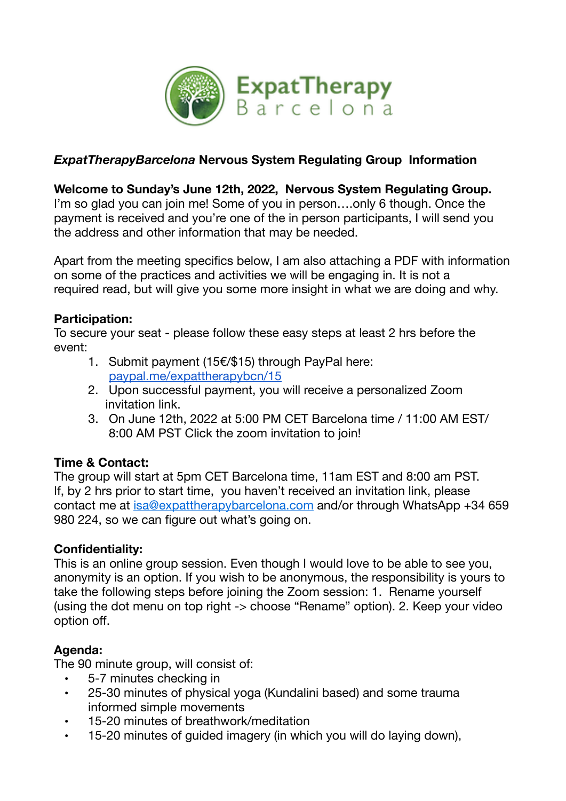

# *ExpatTherapyBarcelona* **Nervous System Regulating Group Information**

### **Welcome to Sunday's June 12th, 2022, Nervous System Regulating Group.**

I'm so glad you can join me! Some of you in person....only 6 though. Once the payment is received and you're one of the in person participants, I will send you the address and other information that may be needed.

Apart from the meeting specifics below, I am also attaching a PDF with information on some of the practices and activities we will be engaging in. It is not a required read, but will give you some more insight in what we are doing and why.

## **Participation:**

To secure your seat - please follow these easy steps at least 2 hrs before the event:

- 1. Submit payment (15€/\$15) through PayPal here: [paypal.me/expattherapybcn/15](http://www.paypal.me/expattherapybcn/15)
- 2. Upon successful payment, you will receive a personalized Zoom invitation link.
- 3. On June 12th, 2022 at 5:00 PM CET Barcelona time / 11:00 AM EST/ 8:00 AM PST Click the zoom invitation to join!

## **Time & Contact:**

The group will start at 5pm CET Barcelona time, 11am EST and 8:00 am PST. If, by 2 hrs prior to start time, you haven't received an invitation link, please contact me at [isa@expattherapybarcelona.com](mailto:isa@expattherapybarcelona.com) and/or through WhatsApp +34 659 980 224, so we can figure out what's going on.

## **Confidentiality:**

This is an online group session. Even though I would love to be able to see you, anonymity is an option. If you wish to be anonymous, the responsibility is yours to take the following steps before joining the Zoom session: 1. Rename yourself (using the dot menu on top right -> choose "Rename" option). 2. Keep your video option off.

## **Agenda:**

The 90 minute group, will consist of:

- 5-7 minutes checking in
- 25-30 minutes of physical yoga (Kundalini based) and some trauma informed simple movements
- 15-20 minutes of breathwork/meditation
- 15-20 minutes of guided imagery (in which you will do laying down),